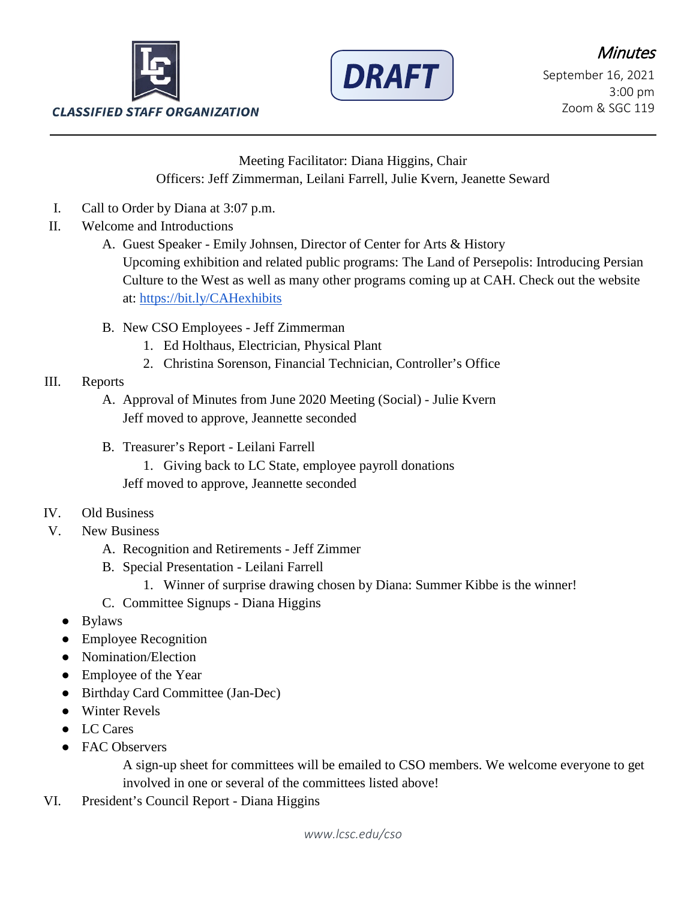



Meeting Facilitator: Diana Higgins, Chair Officers: Jeff Zimmerman, Leilani Farrell, Julie Kvern, Jeanette Seward

- I. Call to Order by Diana at 3:07 p.m.
- II. Welcome and Introductions
	- A. Guest Speaker Emily Johnsen, Director of Center for Arts & History Upcoming exhibition and related public programs: The Land of Persepolis: Introducing Persian Culture to the West as well as many other programs coming up at CAH. Check out the website at:<https://bit.ly/CAHexhibits>
	- B. New CSO Employees Jeff Zimmerman
		- 1. Ed Holthaus, Electrician, Physical Plant
		- 2. Christina Sorenson, Financial Technician, Controller's Office

## III. Reports

- A. Approval of Minutes from June 2020 Meeting (Social) Julie Kvern Jeff moved to approve, Jeannette seconded
- B. Treasurer's Report Leilani Farrell
	- 1. Giving back to LC State, employee payroll donations
	- Jeff moved to approve, Jeannette seconded
- IV. Old Business
- V. New Business
	- A. Recognition and Retirements Jeff Zimmer
	- B. Special Presentation Leilani Farrell
		- 1. Winner of surprise drawing chosen by Diana: Summer Kibbe is the winner!
	- C. Committee Signups Diana Higgins
	- Bylaws
	- Employee Recognition
	- Nomination/Election
	- Employee of the Year
	- Birthday Card Committee (Jan-Dec)
	- Winter Revels
	- LC Cares
	- **FAC Observers**

A sign-up sheet for committees will be emailed to CSO members. We welcome everyone to get involved in one or several of the committees listed above!

VI. President's Council Report - Diana Higgins